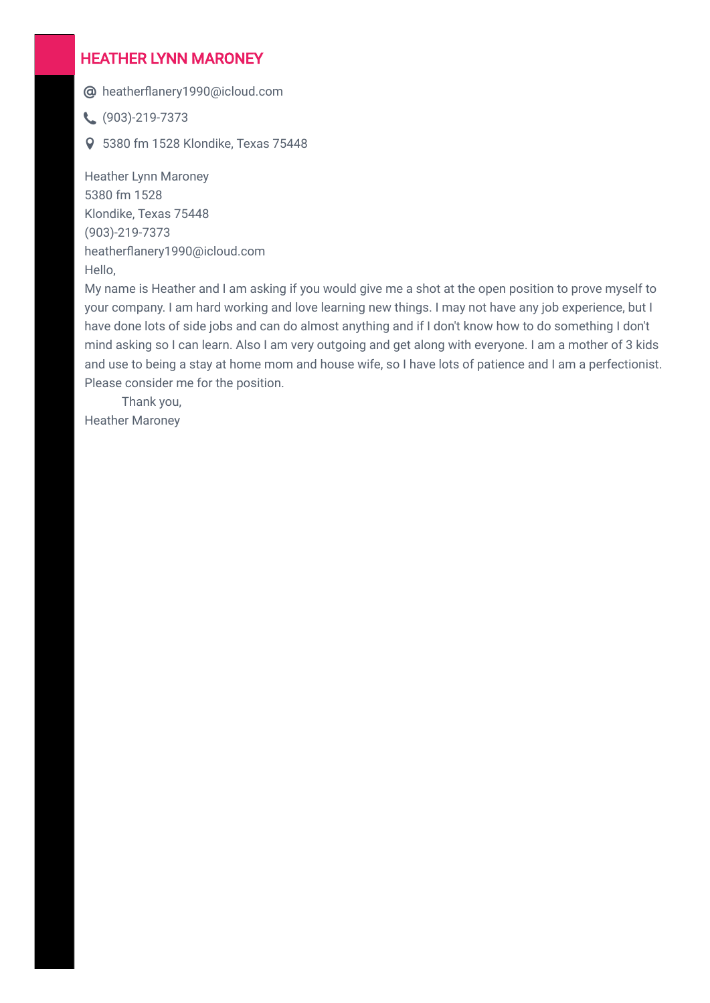### HEATHER LYNN MARONEY

heatherflanery1990@icloud.com

 $\left(903\right)$ -219-7373

5380 fm 1528 Klondike, Texas 75448

Heather Lynn Maroney 5380 fm 1528 Klondike, Texas 75448 (903)-219-7373 heatherflanery1990@icloud.com Hello,

My name is Heather and I am asking if you would give me a shot at the open position to prove myself to your company. I am hard working and love learning new things. I may not have any job experience, but I have done lots of side jobs and can do almost anything and if I don't know how to do something I don't mind asking so I can learn. Also I am very outgoing and get along with everyone. I am a mother of 3 kids and use to being a stay at home mom and house wife, so I have lots of patience and I am a perfectionist. Please consider me for the position.

 Thank you, Heather Maroney